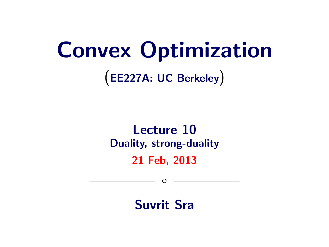# Convex Optimization

(EE227A: UC Berkeley)

## Lecture 10 Duality, strong-duality

21 Feb, 2013

 $\circ$ 

Suvrit Sra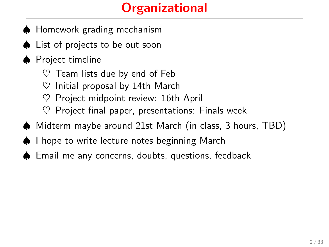## **Organizational**

- ♠ Homework grading mechanism
- ♠ List of projects to be out soon
- ♠ Project timeline
	- $\heartsuit$  Team lists due by end of Feb
	- $\heartsuit$  Initial proposal by 14th March
	- Project midpoint review: 16th April
	- $\heartsuit$  Project final paper, presentations: Finals week
- ♠ Midterm maybe around 21st March (in class, 3 hours, TBD)
- ♠ I hope to write lecture notes beginning March
- ♠ Email me any concerns, doubts, questions, feedback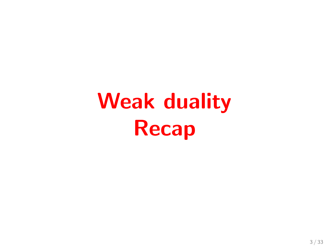# Weak duality Recap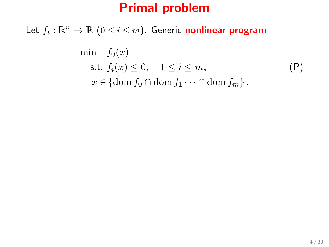Let  $f_i: \mathbb{R}^n \to \mathbb{R}$   $(0 \leq i \leq m)$ . Generic nonlinear program

$$
\min f_0(x)
$$
\n
$$
\text{s.t. } f_i(x) \le 0, \quad 1 \le i \le m,
$$
\n
$$
x \in \{\text{dom } f_0 \cap \text{dom } f_1 \cdots \cap \text{dom } f_m\}.
$$
\n
$$
(P)
$$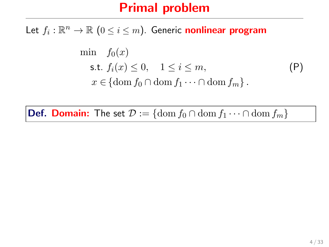Let  $f_i: \mathbb{R}^n \to \mathbb{R}$   $(0 \leq i \leq m)$ . Generic nonlinear program

$$
\min f_0(x)
$$
\n
$$
\text{s.t. } f_i(x) \le 0, \quad 1 \le i \le m,
$$
\n
$$
x \in \{\text{dom } f_0 \cap \text{dom } f_1 \cdots \cap \text{dom } f_m\}.
$$
\n
$$
(P)
$$

**Def. Domain:** The set  $\mathcal{D} := \{ \text{dom } f_0 \cap \text{dom } f_1 \cdots \cap \text{dom } f_m \}$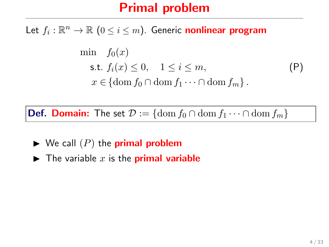Let  $f_i: \mathbb{R}^n \to \mathbb{R}$   $(0 \leq i \leq m)$ . Generic nonlinear program

$$
\min f_0(x)
$$
\n
$$
\text{s.t. } f_i(x) \le 0, \quad 1 \le i \le m,
$$
\n
$$
x \in \{\text{dom } f_0 \cap \text{dom } f_1 \cdots \cap \text{dom } f_m\}.
$$
\n
$$
(P)
$$

**Def. Domain:** The set  $\mathcal{D} := \{ \text{dom } f_0 \cap \text{dom } f_1 \cdots \cap \text{dom } f_m \}$ 

- $\blacktriangleright$  We call  $(P)$  the **primal problem**
- $\blacktriangleright$  The variable x is the **primal variable**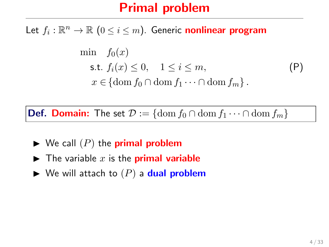Let  $f_i: \mathbb{R}^n \to \mathbb{R}$   $(0 \leq i \leq m)$ . Generic nonlinear program

$$
\min f_0(x)
$$
\n
$$
\text{s.t. } f_i(x) \le 0, \quad 1 \le i \le m,
$$
\n
$$
x \in \{\text{dom } f_0 \cap \text{dom } f_1 \cdots \cap \text{dom } f_m\}.
$$
\n
$$
(P)
$$

**Def. Domain:** The set  $\mathcal{D} := \{ \text{dom } f_0 \cap \text{dom } f_1 \cdots \cap \text{dom } f_m \}$ 

- $\blacktriangleright$  We call  $(P)$  the **primal problem**
- $\blacktriangleright$  The variable x is the **primal variable**
- $\blacktriangleright$  We will attach to  $(P)$  a **dual problem**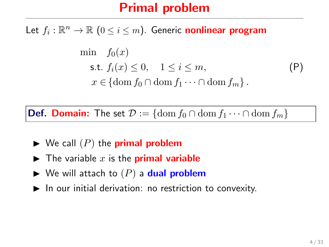Let  $f_i: \mathbb{R}^n \to \mathbb{R}$   $(0 \leq i \leq m)$ . Generic nonlinear program

$$
\min f_0(x)
$$
\n
$$
\text{s.t. } f_i(x) \le 0, \quad 1 \le i \le m,
$$
\n
$$
x \in \{\text{dom } f_0 \cap \text{dom } f_1 \cdots \cap \text{dom } f_m\}.
$$
\n
$$
(P)
$$

**Def. Domain:** The set  $\mathcal{D} := \{\text{dom } f_0 \cap \text{dom } f_1 \cdots \cap \text{dom } f_m\}$ 

- $\blacktriangleright$  We call  $(P)$  the **primal problem**
- $\blacktriangleright$  The variable x is the **primal variable**
- $\blacktriangleright$  We will attach to  $(P)$  a dual problem
- $\blacktriangleright$  In our initial derivation: no restriction to convexity.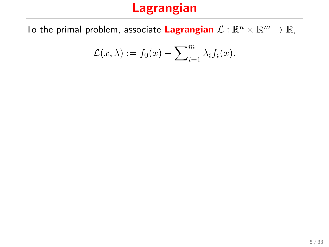To the primal problem, associate Lagrangian  $\mathcal{L}:\mathbb{R}^n\times\mathbb{R}^m\to\mathbb{R}$ ,

$$
\mathcal{L}(x,\lambda) := f_0(x) + \sum_{i=1}^m \lambda_i f_i(x).
$$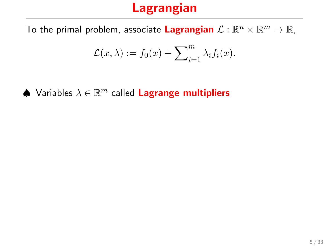To the primal problem, associate Lagrangian  $\mathcal{L}:\mathbb{R}^n\times\mathbb{R}^m\to\mathbb{R}$ ,

$$
\mathcal{L}(x,\lambda) := f_0(x) + \sum_{i=1}^m \lambda_i f_i(x).
$$

 $\spadesuit$  Variables  $\lambda \in \mathbb{R}^m$  called Lagrange multipliers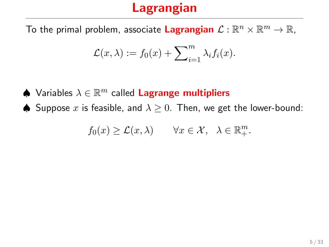To the primal problem, associate Lagrangian  $\mathcal{L}:\mathbb{R}^n\times\mathbb{R}^m\to\mathbb{R}$ ,

$$
\mathcal{L}(x,\lambda) := f_0(x) + \sum_{i=1}^m \lambda_i f_i(x).
$$

 $\spadesuit$  Variables  $\lambda \in \mathbb{R}^m$  called Lagrange multipliers

 $\spadesuit$  Suppose x is feasible, and  $\lambda \geq 0$ . Then, we get the lower-bound:

$$
f_0(x) \geq \mathcal{L}(x,\lambda) \qquad \forall x \in \mathcal{X}, \ \lambda \in \mathbb{R}_+^m.
$$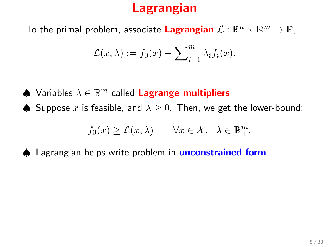To the primal problem, associate Lagrangian  $\mathcal{L}:\mathbb{R}^n\times\mathbb{R}^m\to\mathbb{R}$ ,

$$
\mathcal{L}(x,\lambda) := f_0(x) + \sum_{i=1}^m \lambda_i f_i(x).
$$

- $\spadesuit$  Variables  $\lambda \in \mathbb{R}^m$  called Lagrange multipliers
- ♦ Suppose x is feasible, and  $\lambda \geq 0$ . Then, we get the lower-bound:

$$
f_0(x) \geq \mathcal{L}(x,\lambda) \qquad \forall x \in \mathcal{X}, \ \lambda \in \mathbb{R}_+^m.
$$

♦ Lagrangian helps write problem in **unconstrained form**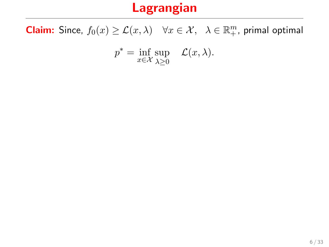**Claim:** Since,  $f_0(x) \geq \mathcal{L}(x, \lambda)$   $\forall x \in \mathcal{X}, \lambda \in \mathbb{R}_+^m$ , primal optimal

$$
p^* = \inf_{x \in \mathcal{X}} \sup_{\lambda \ge 0} \quad \mathcal{L}(x, \lambda).
$$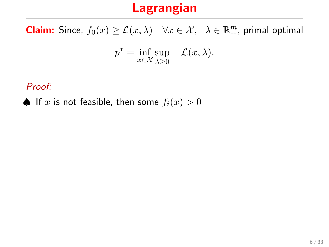**Claim:** Since,  $f_0(x) \geq \mathcal{L}(x, \lambda)$   $\forall x \in \mathcal{X}, \lambda \in \mathbb{R}_+^m$ , primal optimal

$$
p^* = \inf_{x \in \mathcal{X}} \sup_{\lambda \ge 0} \quad \mathcal{L}(x, \lambda).
$$

Proof:

♦ If x is not feasible, then some  $f_i(x) > 0$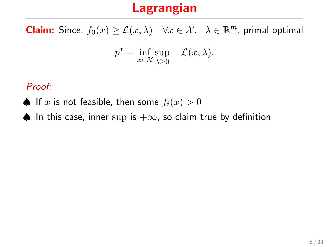**Claim:** Since,  $f_0(x) \geq \mathcal{L}(x, \lambda)$   $\forall x \in \mathcal{X}, \lambda \in \mathbb{R}_+^m$ , primal optimal

$$
p^* = \inf_{x \in \mathcal{X}} \sup_{\lambda \ge 0} \quad \mathcal{L}(x, \lambda).
$$

Proof:

- ♦ If x is not feasible, then some  $f_i(x) > 0$
- ♦ In this case, inner sup is  $+\infty$ , so claim true by definition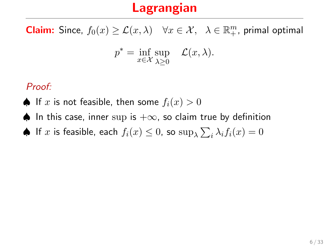**Claim:** Since,  $f_0(x) \geq \mathcal{L}(x, \lambda)$   $\forall x \in \mathcal{X}, \lambda \in \mathbb{R}_+^m$ , primal optimal

$$
p^* = \inf_{x \in \mathcal{X}} \sup_{\lambda \ge 0} \quad \mathcal{L}(x, \lambda).
$$

#### Proof:

- ♦ If x is not feasible, then some  $f_i(x) > 0$
- ♦ In this case, inner sup is  $+\infty$ , so claim true by definition
- $\spadesuit$  If  $x$  is feasible, each  $f_i(x) \leq 0$ , so  $\sup_{\lambda} \sum_i \lambda_i f_i(x) = 0$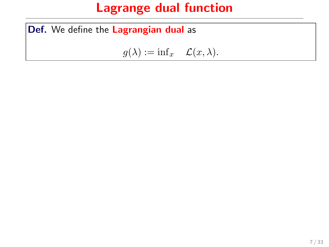Def. We define the Lagrangian dual as

 $g(\lambda) := \inf_x \mathcal{L}(x, \lambda).$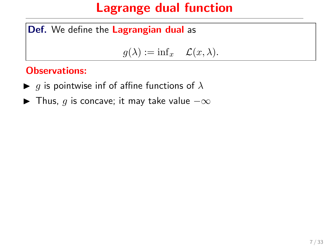Def. We define the Lagrangian dual as

$$
g(\lambda) := \inf x \quad \mathcal{L}(x, \lambda).
$$

#### Observations:

- $\blacktriangleright$  g is pointwise inf of affine functions of  $\lambda$
- $\blacktriangleright$  Thus, g is concave; it may take value  $-\infty$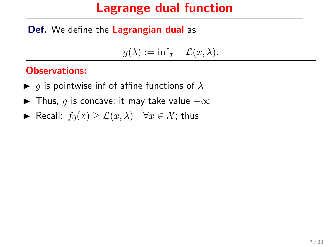Def. We define the Lagrangian dual as

 $g(\lambda) := \inf_x \mathcal{L}(x, \lambda).$ 

#### Observations:

- $\blacktriangleright$  g is pointwise inf of affine functions of  $\lambda$
- $\blacktriangleright$  Thus, g is concave; it may take value  $-\infty$
- ► Recall:  $f_0(x) \geq \mathcal{L}(x, \lambda)$   $\forall x \in \mathcal{X}$ ; thus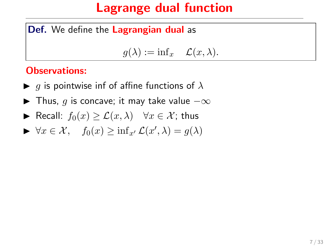#### Def. We define the Lagrangian dual as

$$
g(\lambda) := \inf x \quad \mathcal{L}(x, \lambda).
$$

#### Observations:

- $\blacktriangleright$  g is pointwise inf of affine functions of  $\lambda$
- $\blacktriangleright$  Thus, g is concave; it may take value  $-\infty$
- ► Recall:  $f_0(x) \geq \mathcal{L}(x, \lambda)$   $\forall x \in \mathcal{X}$ ; thus
- $\blacktriangleright \forall x \in \mathcal{X}, \quad f_0(x) \geq \inf_{x'} \mathcal{L}(x', \lambda) = g(\lambda)$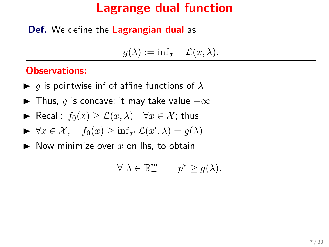#### Def. We define the Lagrangian dual as

$$
g(\lambda) := \inf x \quad \mathcal{L}(x, \lambda).
$$

#### Observations:

- $\blacktriangleright$  g is pointwise inf of affine functions of  $\lambda$
- $\blacktriangleright$  Thus, g is concave; it may take value  $-\infty$
- ► Recall:  $f_0(x) \geq \mathcal{L}(x, \lambda)$   $\forall x \in \mathcal{X}$ ; thus

$$
\blacktriangleright \forall x \in \mathcal{X}, \quad f_0(x) \ge \inf_{x'} \mathcal{L}(x', \lambda) = g(\lambda)
$$

 $\blacktriangleright$  Now minimize over x on lhs, to obtain

$$
\forall \ \lambda \in \mathbb{R}_+^m \qquad p^* \geq g(\lambda).
$$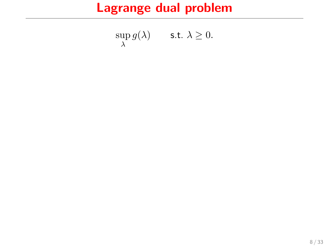## Lagrange dual problem

$$
\sup_{\lambda} g(\lambda) \qquad \text{s.t. } \lambda \ge 0.
$$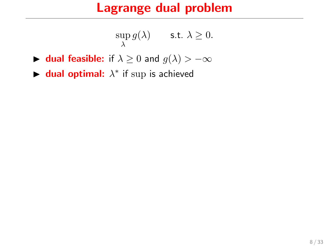#### Lagrange dual problem

$$
\sup_{\lambda} g(\lambda) \qquad \text{s.t. } \lambda \ge 0.
$$

- **► dual feasible:** if  $\lambda \geq 0$  and  $g(\lambda) > -\infty$
- $\blacktriangleright$  dual optimal:  $\lambda^*$  if sup is achieved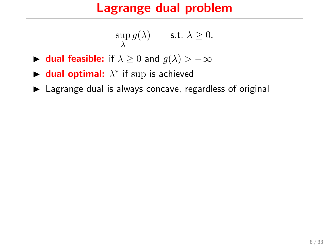#### Lagrange dual problem

$$
\sup_{\lambda} g(\lambda) \qquad \text{s.t. } \lambda \ge 0.
$$

- **► dual feasible:** if  $\lambda \geq 0$  and  $g(\lambda) > -\infty$
- $\blacktriangleright$  dual optimal:  $\lambda^*$  if sup is achieved
- $\blacktriangleright$  Lagrange dual is always concave, regardless of original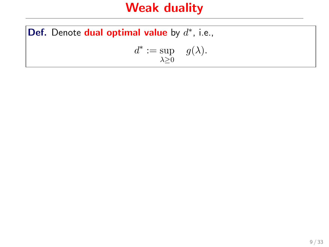#### Weak duality

Def. Denote dual optimal value by  $d^*$ , i.e.,  $d^* := \sup \ g(\lambda).$  $\lambda \geq 0$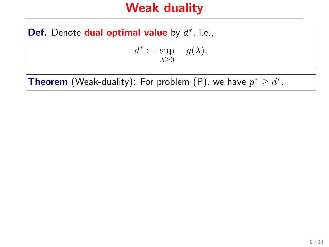#### Weak duality

Def. Denote dual optimal value by  $d^*$ , i.e.,

$$
d^* := \sup_{\lambda \ge 0} \quad g(\lambda).
$$

**Theorem** (Weak-duality): For problem (P), we have  $p^* \geq d^*$ .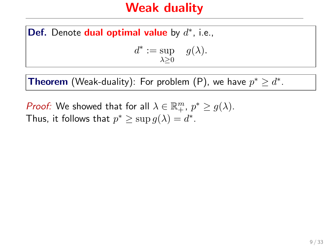#### Weak duality

Def. Denote dual optimal value by  $d^*$ , i.e.,

$$
d^* := \sup_{\lambda \ge 0} g(\lambda).
$$

**Theorem** (Weak-duality): For problem (P), we have  $p^* \geq d^*$ .

*Proof:* We showed that for all  $\lambda \in \mathbb{R}_+^m$ ,  $p^* \ge g(\lambda)$ . Thus, it follows that  $p^* \geq \sup g(\lambda) = d^*$ .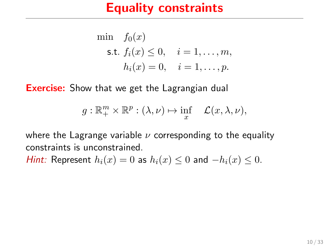#### Equality constraints

min 
$$
f_0(x)
$$
  
\ns.t.  $f_i(x) \le 0$ ,  $i = 1,..., m$ ,  
\n $h_i(x) = 0$ ,  $i = 1,..., p$ .

**Exercise:** Show that we get the Lagrangian dual

$$
g: \mathbb{R}^m_+ \times \mathbb{R}^p : (\lambda, \nu) \mapsto \inf_x \mathcal{L}(x, \lambda, \nu),
$$

where the Lagrange variable  $\nu$  corresponding to the equality constraints is unconstrained.

*Hint:* Represent  $h_i(x) = 0$  as  $h_i(x) \le 0$  and  $-h_i(x) \le 0$ .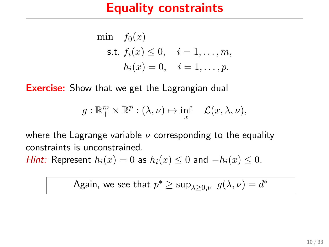#### Equality constraints

min 
$$
f_0(x)
$$
  
\ns.t.  $f_i(x) \le 0$ ,  $i = 1, ..., m$ ,  
\n $h_i(x) = 0$ ,  $i = 1, ..., p$ .

**Exercise:** Show that we get the Lagrangian dual

$$
g: \mathbb{R}^m_+ \times \mathbb{R}^p : (\lambda, \nu) \mapsto \inf_x \quad \mathcal{L}(x, \lambda, \nu),
$$

where the Lagrange variable  $\nu$  corresponding to the equality constraints is unconstrained.

*Hint:* Represent  $h_i(x) = 0$  as  $h_i(x) \le 0$  and  $-h_i(x) \le 0$ .

Again, we see that 
$$
p^* \ge \sup_{\lambda \ge 0, \nu} g(\lambda, \nu) = d^*
$$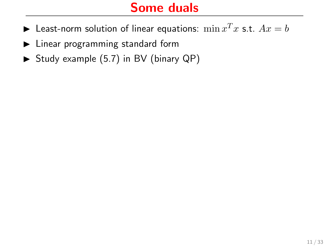#### Some duals

- $\blacktriangleright$  Least-norm solution of linear equations:  $\min x^T x$  s.t.  $Ax = b$
- $\blacktriangleright$  Linear programming standard form
- $\triangleright$  Study example (5.7) in BV (binary QP)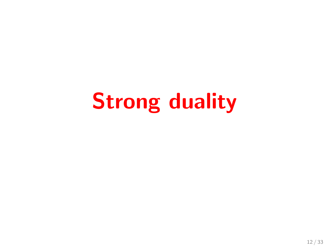# Strong duality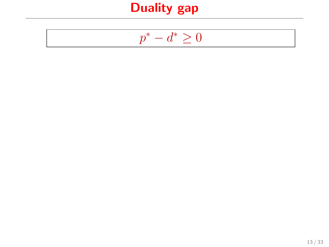$$
p^* - d^* \ge 0
$$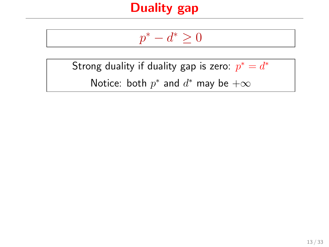$$
p^*-d^*\geq 0
$$

Strong duality if duality gap is zero:  $p^* = d^*$ Notice: both  $p^*$  and  $d^*$  may be  $+\infty$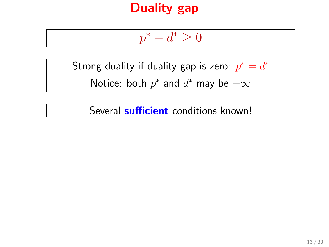$$
p^*-d^*\geq 0
$$

Strong duality if duality gap is zero:  $p^* = d^*$ 

Notice: both  $p^*$  and  $d^*$  may be  $+\infty$ 

Several **sufficient** conditions known!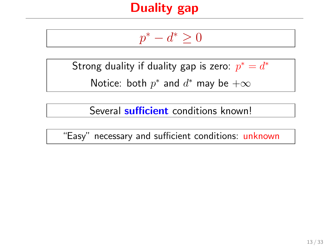$$
p^*-d^*\geq 0
$$

Strong duality if duality gap is zero:  $p^* = d^*$ 

Notice: both  $p^*$  and  $d^*$  may be  $+\infty$ 

Several **sufficient** conditions known!

"Easy" necessary and sufficient conditions: unknown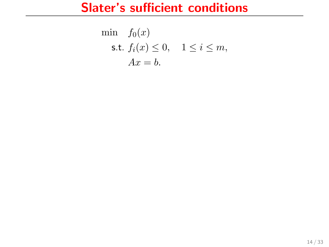#### Slater's sufficient conditions

$$
\begin{aligned}\n\min \quad & f_0(x) \\
\text{s.t. } & f_i(x) \le 0, \quad 1 \le i \le m, \\
& Ax = b.\n\end{aligned}
$$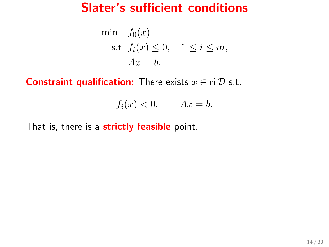## Slater's sufficient conditions

$$
\begin{aligned}\n\min \quad & f_0(x) \\
\text{s.t. } & f_i(x) \le 0, \quad 1 \le i \le m, \\
& Ax = b.\n\end{aligned}
$$

**Constraint qualification:** There exists  $x \in \text{ri } D$  s.t.

$$
f_i(x) < 0, \qquad Ax = b.
$$

That is, there is a strictly feasible point.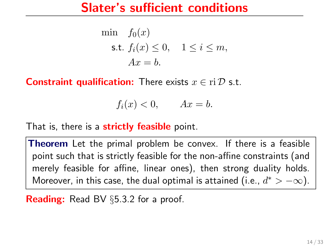## Slater's sufficient conditions

$$
\begin{aligned}\n\min \quad & f_0(x) \\
\text{s.t. } & f_i(x) \le 0, \quad 1 \le i \le m, \\
& Ax = b.\n\end{aligned}
$$

**Constraint qualification:** There exists  $x \in \text{ri } \mathcal{D}$  s.t.

$$
f_i(x) < 0, \qquad Ax = b.
$$

That is, there is a strictly feasible point.

**Theorem** Let the primal problem be convex. If there is a feasible point such that is strictly feasible for the non-affine constraints (and merely feasible for affine, linear ones), then strong duality holds. Moreover, in this case, the dual optimal is attained (i.e.,  $d^* > -\infty$ ).

Reading: Read BV §5.3.2 for a proof.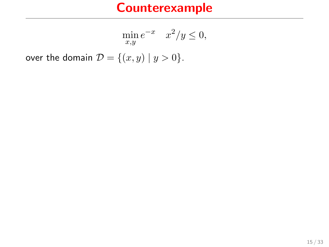$$
\min_{x,y} e^{-x} \quad x^2/y \le 0,
$$

over the domain  $\mathcal{D} = \{(x, y) | y > 0\}.$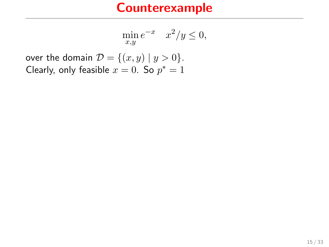$$
\min_{x,y} e^{-x} \quad x^2/y \le 0,
$$

over the domain  $\mathcal{D} = \{(x, y) | y > 0\}.$ Clearly, only feasible  $x = 0$ . So  $p^* = 1$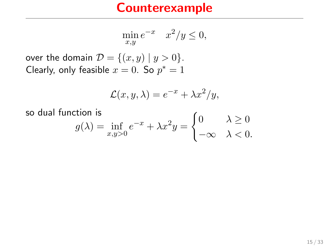$$
\min_{x,y} e^{-x} \quad x^2/y \le 0,
$$

over the domain  $\mathcal{D} = \{(x, y) | y > 0\}.$ Clearly, only feasible  $x = 0$ . So  $p^* = 1$ 

$$
\mathcal{L}(x, y, \lambda) = e^{-x} + \lambda x^2 / y,
$$

so dual function is

$$
g(\lambda) = \inf_{x,y>0} e^{-x} + \lambda x^2 y = \begin{cases} 0 & \lambda \ge 0 \\ -\infty & \lambda < 0. \end{cases}
$$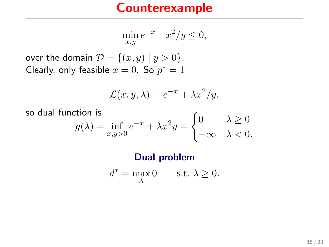$$
\min_{x,y} e^{-x} \quad x^2/y \le 0,
$$

over the domain  $\mathcal{D} = \{(x, y) | y > 0\}.$ Clearly, only feasible  $x = 0$ . So  $p^* = 1$ 

$$
\mathcal{L}(x, y, \lambda) = e^{-x} + \lambda x^2 / y,
$$

 $\epsilon$ 

so dual function is

$$
g(\lambda) = \inf_{x,y>0} e^{-x} + \lambda x^2 y = \begin{cases} 0 & \lambda \ge 0 \\ -\infty & \lambda < 0. \end{cases}
$$

**Dual problem**  

$$
d^* = \max_{\lambda} 0 \quad \text{s.t. } \lambda \geq 0.
$$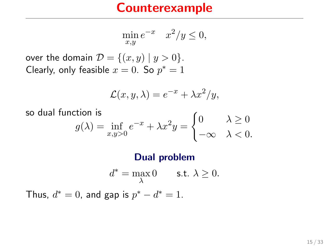$$
\min_{x,y} e^{-x} \quad x^2/y \le 0,
$$

over the domain  $\mathcal{D} = \{(x, y) | y > 0\}.$ Clearly, only feasible  $x = 0$ . So  $p^* = 1$ 

$$
\mathcal{L}(x, y, \lambda) = e^{-x} + \lambda x^2 / y,
$$

 $\epsilon$ 

so dual function is

$$
g(\lambda) = \inf_{x,y>0} e^{-x} + \lambda x^2 y = \begin{cases} 0 & \lambda \ge 0 \\ -\infty & \lambda < 0. \end{cases}
$$

Dual problem  $d^* = \max_{\lambda} 0$  s.t.  $\lambda \geq 0$ . Thus,  $d^* = 0$ , and gap is  $p^* - d^* = 1$ .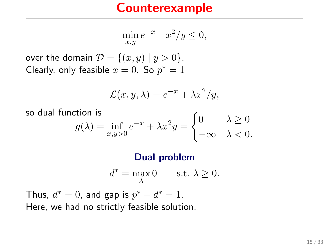$$
\min_{x,y} e^{-x} \quad x^2/y \le 0,
$$

over the domain  $\mathcal{D} = \{(x, y) | y > 0\}.$ Clearly, only feasible  $x = 0$ . So  $p^* = 1$ 

$$
\mathcal{L}(x, y, \lambda) = e^{-x} + \lambda x^2 / y,
$$

 $\epsilon$ 

so dual function is

$$
g(\lambda) = \inf_{x,y>0} e^{-x} + \lambda x^2 y = \begin{cases} 0 & \lambda \ge 0 \\ -\infty & \lambda < 0. \end{cases}
$$

#### Dual problem

$$
d^* = \max_{\lambda} 0 \qquad \text{s.t. } \lambda \ge 0.
$$

Thus,  $d^* = 0$ , and gap is  $p^* - d^* = 1$ . Here, we had no strictly feasible solution.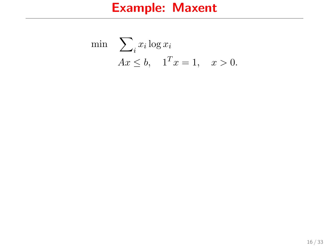$$
\begin{aligned}\n\min \quad & \sum_{i} x_i \log x_i \\
& Ax \leq b, \quad 1^T x = 1, \quad x > 0.\n\end{aligned}
$$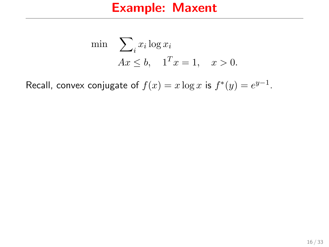$$
\begin{aligned}\n\min \quad & \sum_{i} x_i \log x_i \\
& Ax \leq b, \quad 1^T x = 1, \quad x > 0.\n\end{aligned}
$$

Recall, convex conjugate of  $f(x) = x \log x$  is  $f^*(y) = e^{y-1}$ .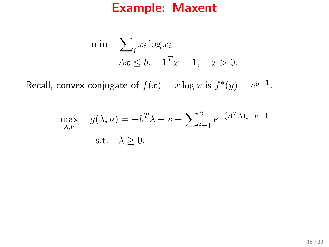$$
\begin{aligned}\n\min \quad & \sum_{i} x_i \log x_i \\
& Ax \leq b, \quad 1^T x = 1, \quad x > 0.\n\end{aligned}
$$

Recall, convex conjugate of  $f(x) = x \log x$  is  $f^*(y) = e^{y-1}$ .

$$
\max_{\lambda,\nu} \quad g(\lambda,\nu) = -b^T \lambda - \nu - \sum_{i=1}^n e^{-(A^T \lambda)_i - \nu - 1}
$$
\ns.t.

\n
$$
\lambda \geq 0.
$$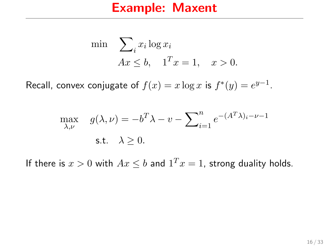$$
\begin{aligned}\n\min \quad & \sum_{i} x_i \log x_i \\
& Ax \leq b, \quad 1^T x = 1, \quad x > 0.\n\end{aligned}
$$

Recall, convex conjugate of  $f(x) = x \log x$  is  $f^*(y) = e^{y-1}$ .

$$
\max_{\lambda,\nu} \quad g(\lambda,\nu) = -b^T \lambda - \nu - \sum_{i=1}^n e^{-(A^T \lambda)_i - \nu - 1}
$$
\ns.t.

\n
$$
\lambda \geq 0.
$$

If there is  $x > 0$  with  $Ax \leq b$  and  $1^T x = 1$ , strong duality holds.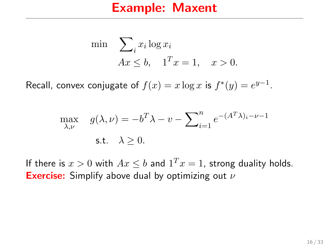$$
\begin{aligned}\n\min \quad & \sum_{i} x_i \log x_i \\
& Ax \leq b, \quad 1^T x = 1, \quad x > 0.\n\end{aligned}
$$

Recall, convex conjugate of  $f(x) = x \log x$  is  $f^*(y) = e^{y-1}$ .

$$
\max_{\lambda,\nu} \quad g(\lambda,\nu) = -b^T \lambda - \nu - \sum_{i=1}^n e^{-(A^T \lambda)_i - \nu - 1}
$$
\ns.t.

\n
$$
\lambda \geq 0.
$$

If there is  $x > 0$  with  $Ax \leq b$  and  $1^T x = 1$ , strong duality holds. **Exercise:** Simplify above dual by optimizing out  $\nu$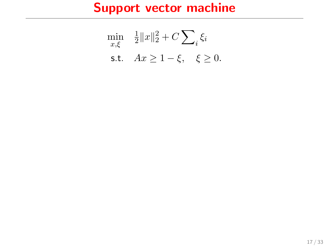# Support vector machine

$$
\min_{x,\xi} \quad \frac{1}{2} \|x\|_2^2 + C \sum_{i} \xi_i
$$
  
s.t.  $Ax \ge 1 - \xi, \quad \xi \ge 0.$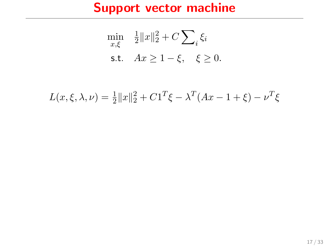# Support vector machine

$$
\min_{x,\xi} \quad \frac{1}{2} \|x\|_2^2 + C \sum_{i} \xi_i
$$
  
s.t.  $Ax \ge 1 - \xi, \quad \xi \ge 0.$ 

$$
L(x, \xi, \lambda, \nu) = \frac{1}{2} ||x||_2^2 + C1^T \xi - \lambda^T (Ax - 1 + \xi) - \nu^T \xi
$$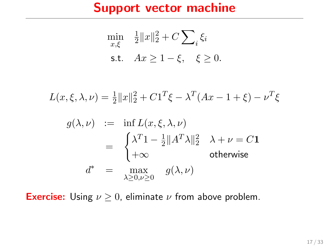### Support vector machine

$$
\min_{x,\xi} \quad \frac{1}{2} \|x\|_2^2 + C \sum_i \xi_i
$$
  
s.t.  $Ax \ge 1 - \xi, \quad \xi \ge 0.$ 

$$
L(x, \xi, \lambda, \nu) = \frac{1}{2} ||x||_2^2 + C1^T \xi - \lambda^T (Ax - 1 + \xi) - \nu^T \xi
$$

$$
g(\lambda, \nu) := \inf L(x, \xi, \lambda, \nu)
$$
  
= 
$$
\begin{cases} \lambda^T 1 - \frac{1}{2} ||A^T \lambda||_2^2 & \lambda + \nu = C \mathbf{1} \\ +\infty & \text{otherwise} \end{cases}
$$
  

$$
d^* = \max_{\lambda \ge 0, \nu \ge 0} g(\lambda, \nu)
$$

**Exercise:** Using  $\nu \geq 0$ , eliminate  $\nu$  from above problem.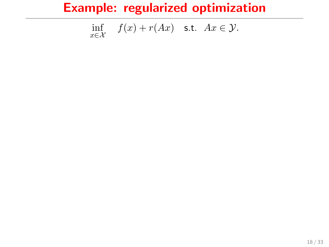$$
\inf_{x \in \mathcal{X}} f(x) + r(Ax) \quad \text{s.t.} \quad Ax \in \mathcal{Y}.
$$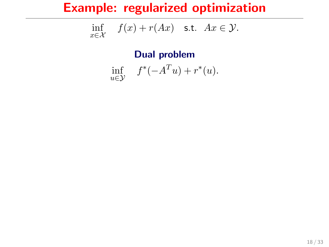$$
\inf_{x \in \mathcal{X}} f(x) + r(Ax) \quad \text{s.t.} \quad Ax \in \mathcal{Y}.
$$

Dual problem

$$
\inf_{u \in \mathcal{Y}} f^*(-A^T u) + r^*(u).
$$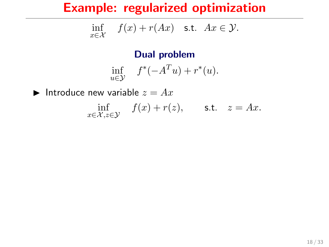$$
\inf_{x \in \mathcal{X}} f(x) + r(Ax) \quad \text{s.t.} \quad Ax \in \mathcal{Y}.
$$

Dual problem

$$
\inf_{u \in \mathcal{Y}} f^*(-A^T u) + r^*(u).
$$

Introduce new variable  $z = Ax$ 

 $\inf_{x \in \mathcal{X}, z \in \mathcal{Y}} f(x) + r(z), \quad \text{s.t.} \quad z = Ax.$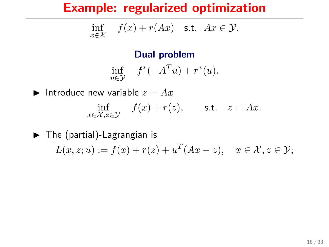$$
\inf_{x \in \mathcal{X}} f(x) + r(Ax) \quad \text{s.t.} \quad Ax \in \mathcal{Y}.
$$

#### Dual problem

$$
\inf_{u \in \mathcal{Y}} f^*(-A^T u) + r^*(u).
$$

Introduce new variable  $z = Ax$  $\inf_{x \in \mathcal{X}, z \in \mathcal{Y}} f(x) + r(z), \quad \text{s.t.} \quad z = Ax.$ 

 $\blacktriangleright$  The (partial)-Lagrangian is  $L(x, z; u) := f(x) + r(z) + u^{T}(Ax - z), \quad x \in \mathcal{X}, z \in \mathcal{Y};$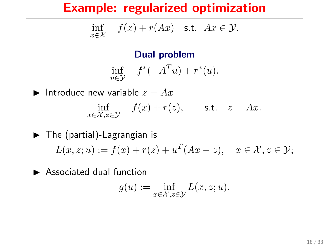$$
\inf_{x \in \mathcal{X}} f(x) + r(Ax) \quad \text{s.t.} \quad Ax \in \mathcal{Y}.
$$

#### Dual problem

$$
\inf_{u \in \mathcal{Y}} f^*(-A^T u) + r^*(u).
$$

Introduce new variable  $z = Ax$  $\inf_{x \in \mathcal{X}, z \in \mathcal{Y}} f(x) + r(z), \quad \text{s.t.} \quad z = Ax.$ 

 $\blacktriangleright$  The (partial)-Lagrangian is  $L(x, z; u) := f(x) + r(z) + u^{T}(Ax - z), \quad x \in \mathcal{X}, z \in \mathcal{Y};$ 

 $\blacktriangleright$  Associated dual function

$$
g(u):=\inf_{x\in\mathcal{X},z\in\mathcal{Y}}L(x,z;u).
$$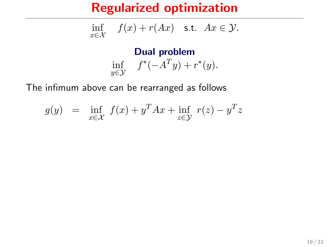$$
\inf_{x \in \mathcal{X}} f(x) + r(Ax) \quad \text{s.t.} \quad Ax \in \mathcal{Y}.
$$

Dual problem inf  $f^*(-A^Ty) + r^*(y)$ .

The infimum above can be rearranged as follows

$$
g(y) = \inf_{x \in \mathcal{X}} f(x) + y^T A x + \inf_{z \in \mathcal{Y}} r(z) - y^T z
$$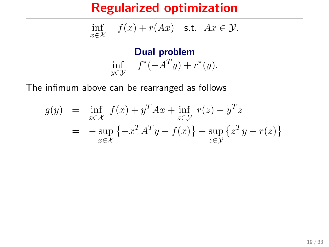$$
\inf_{x \in \mathcal{X}} f(x) + r(Ax) \quad \text{s.t.} \quad Ax \in \mathcal{Y}.
$$

Dual problem inf  $f^*(-A^Ty) + r^*(y)$ .

The infimum above can be rearranged as follows

$$
g(y) = \inf_{x \in \mathcal{X}} f(x) + y^T A x + \inf_{z \in \mathcal{Y}} r(z) - y^T z
$$
  
= 
$$
-\sup_{x \in \mathcal{X}} \{-x^T A^T y - f(x)\} - \sup_{z \in \mathcal{Y}} \{z^T y - r(z)\}
$$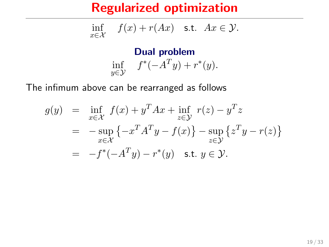$$
\inf_{x \in \mathcal{X}} f(x) + r(Ax) \quad \text{s.t.} \quad Ax \in \mathcal{Y}.
$$

Dual problem inf  $f^*(-A^Ty) + r^*(y)$ .

The infimum above can be rearranged as follows

$$
g(y) = \inf_{x \in \mathcal{X}} f(x) + y^T A x + \inf_{z \in \mathcal{Y}} r(z) - y^T z
$$
  
= 
$$
-\sup_{x \in \mathcal{X}} \{-x^T A^T y - f(x)\} - \sup_{z \in \mathcal{Y}} \{z^T y - r(z)\}
$$
  
= 
$$
-f^*(-A^T y) - r^*(y) \quad \text{s.t. } y \in \mathcal{Y}.
$$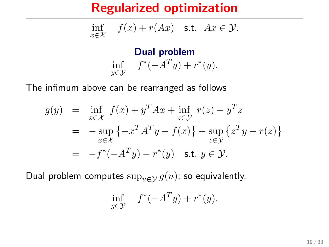$$
\inf_{x \in \mathcal{X}} f(x) + r(Ax) \quad \text{s.t.} \quad Ax \in \mathcal{Y}.
$$

Dual problem inf  $f^*(-A^Ty) + r^*(y)$ .

The infimum above can be rearranged as follows

$$
g(y) = \inf_{x \in \mathcal{X}} f(x) + y^T A x + \inf_{z \in \mathcal{Y}} r(z) - y^T z
$$
  
=  $-\sup_{x \in \mathcal{X}} \{-x^T A^T y - f(x)\} - \sup_{z \in \mathcal{Y}} \{z^T y - r(z)\}$   
=  $-f^*(-A^T y) - r^*(y)$  s.t.  $y \in \mathcal{Y}$ .

Dual problem computes  $\sup_{u\in\mathcal{Y}} g(u)$ ; so equivalently,

$$
\inf_{y \in \mathcal{Y}} f^*(-A^T y) + r^*(y).
$$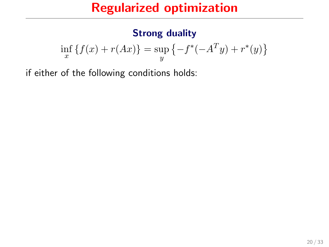#### Strong duality

$$
\inf_{x} \{ f(x) + r(Ax) \} = \sup_{y} \{ -f^{*}(-A^{T}y) + r^{*}(y) \}
$$

if either of the following conditions holds: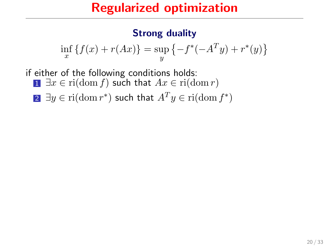#### Strong duality

$$
\inf_{x} \{ f(x) + r(Ax) \} = \sup_{y} \{ -f^{*}(-A^{T}y) + r^{*}(y) \}
$$

if either of the following conditions holds: **1** ∃x ∈ ri(dom f) such that  $Ax \in \text{ri}(\text{dom } r)$ 

2 ∃ $y \in \mathrm{ri}(\mathrm{dom}\, r^*)$  such that  $A^T y \in \mathrm{ri}(\mathrm{dom}\, f^*)$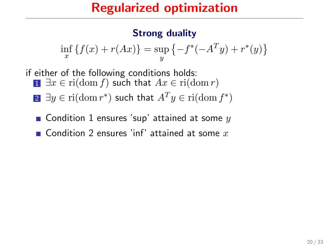#### Strong duality

$$
\inf_{x} \{ f(x) + r(Ax) \} = \sup_{y} \{ -f^{*}(-A^{T}y) + r^{*}(y) \}
$$

if either of the following conditions holds: 1  $\exists x \in \text{ri}(\text{dom } f)$  such that  $Ax \in \text{ri}(\text{dom } r)$ 

- 2 ∃ $y \in \mathrm{ri}(\mathrm{dom}\, r^*)$  such that  $A^T y \in \mathrm{ri}(\mathrm{dom}\, f^*)$
- **Condition 1 ensures 'sup' attained at some**  $y$
- **Condition** 2 ensures 'inf' attained at some x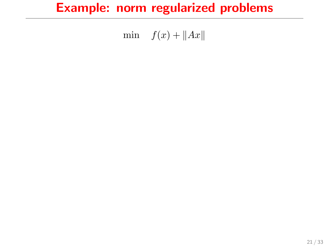# Example: norm regularized problems

min  $f(x) + ||Ax||$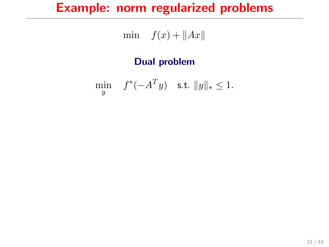# Example: norm regularized problems

$$
\min \quad f(x) + \|Ax\|
$$

#### Dual problem

$$
\min_{y} \quad f^*(-A^T y) \quad \text{s.t. } \|y\|_* \le 1.
$$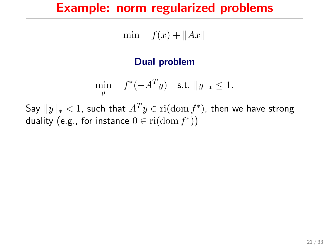## Example: norm regularized problems

min  $f(x) + ||Ax||$ 

#### Dual problem

$$
\min_{y} \quad f^*(-A^T y) \quad \text{s.t. } \|y\|_* \le 1.
$$

Say  $\|\bar{y}\|_* < 1$ , such that  $A^T\bar{y}\in \mathrm{ri}(\mathrm{dom}\, f^*)$ , then we have strong duality (e.g., for instance  $0 \in \mathrm{ri}(\mathrm{dom}\, f^*))$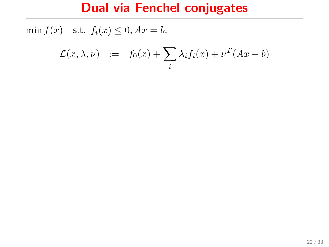$$
\mathcal{L}(x,\lambda,\nu) \quad := \quad f_0(x) + \sum_i \lambda_i f_i(x) + \nu^T (Ax - b)
$$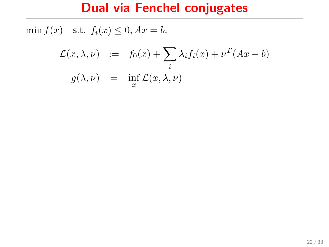$$
\mathcal{L}(x,\lambda,\nu) := f_0(x) + \sum_i \lambda_i f_i(x) + \nu^T (Ax - b)
$$
  

$$
g(\lambda,\nu) = \inf_x \mathcal{L}(x,\lambda,\nu)
$$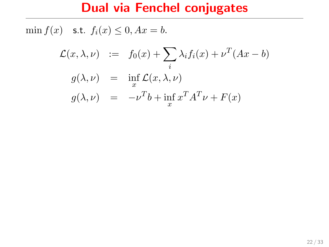$$
\mathcal{L}(x, \lambda, \nu) := f_0(x) + \sum_i \lambda_i f_i(x) + \nu^T (Ax - b)
$$
  
\n
$$
g(\lambda, \nu) = \inf_x \mathcal{L}(x, \lambda, \nu)
$$
  
\n
$$
g(\lambda, \nu) = -\nu^T b + \inf_x x^T A^T \nu + F(x)
$$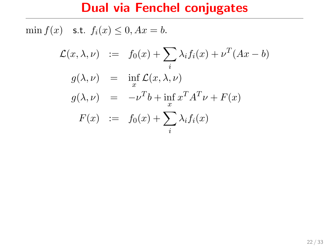$$
\mathcal{L}(x,\lambda,\nu) := f_0(x) + \sum_i \lambda_i f_i(x) + \nu^T (Ax - b)
$$
  
\n
$$
g(\lambda,\nu) = \inf_x \mathcal{L}(x,\lambda,\nu)
$$
  
\n
$$
g(\lambda,\nu) = -\nu^T b + \inf_x x^T A^T \nu + F(x)
$$
  
\n
$$
F(x) := f_0(x) + \sum_i \lambda_i f_i(x)
$$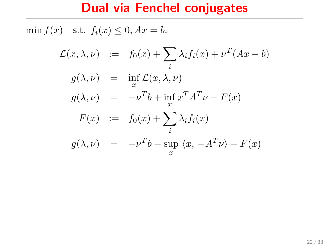$$
\mathcal{L}(x, \lambda, \nu) := f_0(x) + \sum_i \lambda_i f_i(x) + \nu^T (Ax - b)
$$
  
\n
$$
g(\lambda, \nu) = \inf_x \mathcal{L}(x, \lambda, \nu)
$$
  
\n
$$
g(\lambda, \nu) = -\nu^T b + \inf_x x^T A^T \nu + F(x)
$$
  
\n
$$
F(x) := f_0(x) + \sum_i \lambda_i f_i(x)
$$
  
\n
$$
g(\lambda, \nu) = -\nu^T b - \sup_x \langle x, -A^T \nu \rangle - F(x)
$$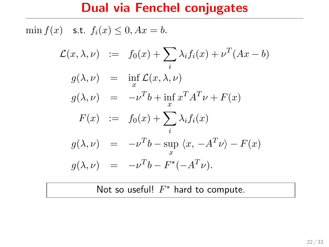min  $f(x)$  s.t.  $f_i(x) \leq 0$ ,  $Ax = b$ .

$$
\mathcal{L}(x,\lambda,\nu) := f_0(x) + \sum_i \lambda_i f_i(x) + \nu^T (Ax - b)
$$
  
\n
$$
g(\lambda,\nu) = \inf_x \mathcal{L}(x,\lambda,\nu)
$$
  
\n
$$
g(\lambda,\nu) = -\nu^T b + \inf_x x^T A^T \nu + F(x)
$$
  
\n
$$
F(x) := f_0(x) + \sum_i \lambda_i f_i(x)
$$
  
\n
$$
g(\lambda,\nu) = -\nu^T b - \sup_x \langle x, -A^T \nu \rangle - F(x)
$$
  
\n
$$
g(\lambda,\nu) = -\nu^T b - F^*(-A^T \nu).
$$

Not so useful!  $F^*$  hard to compute.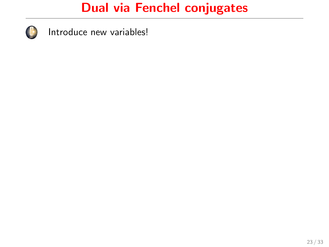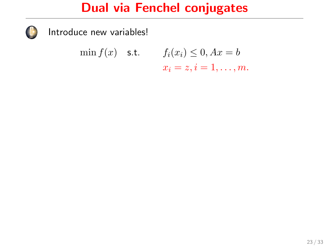

$$
\min f(x) \quad \text{s.t.} \qquad f_i(x_i) \leq 0, Ax = b
$$

$$
x_i = z, i = 1, \dots, m.
$$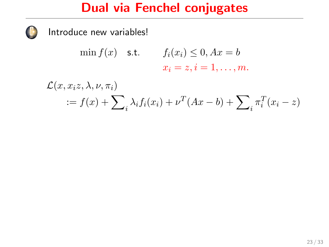$$
\min f(x) \quad \text{s.t.} \qquad f_i(x_i) \le 0, Ax = b
$$

$$
x_i = z, i = 1, \dots, m.
$$

$$
\mathcal{L}(x, x_i z, \lambda, \nu, \pi_i)
$$
  
 :=  $f(x) + \sum_i \lambda_i f_i(x_i) + \nu^T (Ax - b) + \sum_i \pi_i^T (x_i - z)$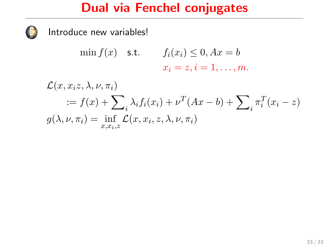Introduce new variables!

$$
\min f(x) \quad \text{s.t.} \qquad f_i(x_i) \le 0, Ax = b
$$

$$
x_i = z, i = 1, \dots, m.
$$

 $\mathcal{L}(x, x_i z, \lambda, \nu, \pi_i)$  $:= f(x) + \sum_{i} \lambda_i f_i(x_i) + \nu^T (Ax - b) + \sum_{i} \pi_i^T (x_i - z)$  $g(\lambda, \nu, \pi_i) = \inf_{x, x_i, z} \mathcal{L}(x, x_i, z, \lambda, \nu, \pi_i)$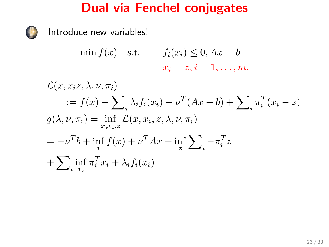$$
\min f(x) \quad \text{s.t.} \quad f_i(x_i) \le 0, Ax = b
$$

$$
x_i = z, i = 1, \dots, m.
$$

$$
\mathcal{L}(x, x_i z, \lambda, \nu, \pi_i)
$$
  
\n
$$
:= f(x) + \sum_i \lambda_i f_i(x_i) + \nu^T (Ax - b) + \sum_i \pi_i^T (x_i - z)
$$
  
\n
$$
g(\lambda, \nu, \pi_i) = \inf_{x, x_i, z} \mathcal{L}(x, x_i, z, \lambda, \nu, \pi_i)
$$
  
\n
$$
= -\nu^T b + \inf_x f(x) + \nu^T Ax + \inf_z \sum_i -\pi_i^T z
$$
  
\n
$$
+ \sum_i \inf_{x_i} \pi_i^T x_i + \lambda_i f_i(x_i)
$$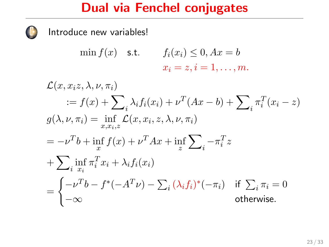Introduce new variables!

$$
\min f(x) \quad \text{s.t.} \qquad f_i(x_i) \le 0, Ax = b
$$

$$
x_i = z, i = 1, \dots, m.
$$

 $\mathcal{L}(x, x_i z, \lambda, \nu, \pi_i)$  $:= f(x) + \sum_{i} \lambda_i f_i(x_i) + \nu^T (Ax - b) + \sum_{i} \pi_i^T (x_i - z)$  $g(\lambda, \nu, \pi_i) = \inf_{x, x_i, z} \mathcal{L}(x, x_i, z, \lambda, \nu, \pi_i)$  $=-\nu^T b + \inf_x f(x) + \nu^T Ax + \inf_z$  $\sum$  $-\pi_i^T z$  $+\sum$  $\inf_{i} \pi_i^T x_i + \lambda_i f_i(x_i)$ =  $\int -\nu^T b - f^*(-A^T\nu) - \sum_i (\lambda_i f_i)^*(-\pi_i) \quad \text{if $\sum_i \pi_i = 0$}$  $-\infty$  otherwise.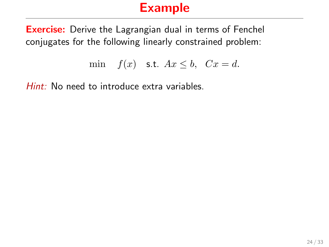## Example

**Exercise:** Derive the Lagrangian dual in terms of Fenchel conjugates for the following linearly constrained problem:

$$
\min \quad f(x) \quad \text{s.t.} \quad Ax \leq b, \quad Cx = d.
$$

Hint: No need to introduce extra variables.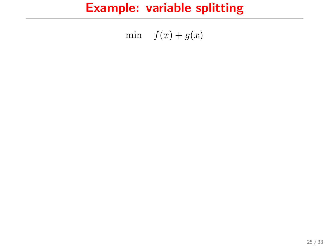min  $f(x) + g(x)$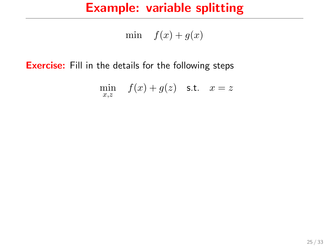min  $f(x) + g(x)$ 

**Exercise:** Fill in the details for the following steps

$$
\min_{x,z} \quad f(x) + g(z) \quad \text{s.t.} \quad x = z
$$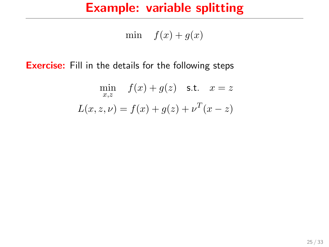min  $f(x) + g(x)$ 

**Exercise:** Fill in the details for the following steps

$$
\min_{x,z} f(x) + g(z) \quad \text{s.t.} \quad x = z
$$

$$
L(x, z, \nu) = f(x) + g(z) + \nu^{T}(x - z)
$$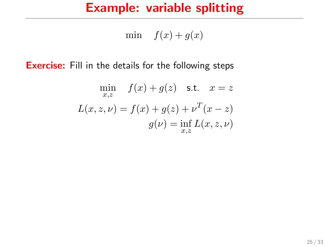min  $f(x) + g(x)$ 

**Exercise:** Fill in the details for the following steps

$$
\min_{x,z} f(x) + g(z) \quad \text{s.t.} \quad x = z
$$
\n
$$
L(x, z, \nu) = f(x) + g(z) + \nu^{T}(x - z)
$$
\n
$$
g(\nu) = \inf_{x,z} L(x, z, \nu)
$$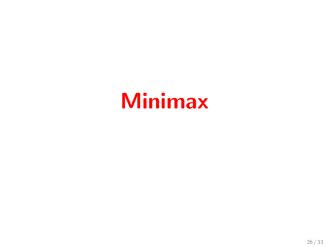# Minimax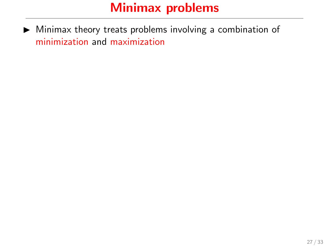$\triangleright$  Minimax theory treats problems involving a combination of minimization and maximization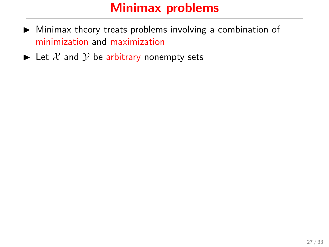- $\triangleright$  Minimax theory treats problems involving a combination of minimization and maximization
- $\blacktriangleright$  Let X and Y be arbitrary nonempty sets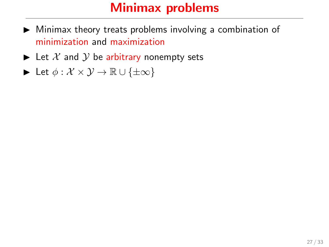- $\triangleright$  Minimax theory treats problems involving a combination of minimization and maximization
- $\blacktriangleright$  Let X and Y be arbitrary nonempty sets
- $\triangleright$  Let  $\phi : \mathcal{X} \times \mathcal{Y} \to \mathbb{R} \cup \{\pm \infty\}$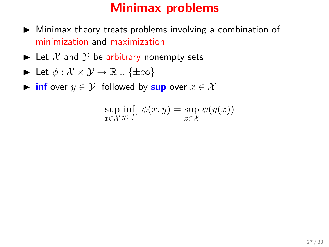- $\triangleright$  Minimax theory treats problems involving a combination of minimization and maximization
- $\blacktriangleright$  Let X and Y be arbitrary nonempty sets

$$
\blacktriangleright \ \text{Let} \ \phi: \mathcal{X} \times \mathcal{Y} \to \mathbb{R} \cup \{\pm \infty\}
$$

 $\triangleright$  inf over  $y \in \mathcal{Y}$ , followed by sup over  $x \in \mathcal{X}$ 

$$
\sup_{x \in \mathcal{X}} \inf_{y \in \mathcal{Y}} \phi(x, y) = \sup_{x \in \mathcal{X}} \psi(y(x))
$$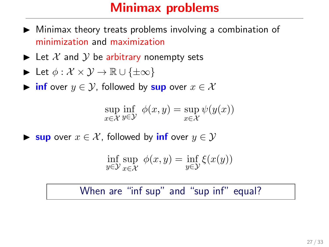- $\blacktriangleright$  Minimax theory treats problems involving a combination of minimization and maximization
- $\blacktriangleright$  Let X and Y be arbitrary nonempty sets

$$
\blacktriangleright \ \text{Let} \ \phi: \mathcal{X} \times \mathcal{Y} \to \mathbb{R} \cup \{\pm \infty\}
$$

 $\triangleright$  inf over  $y \in \mathcal{Y}$ , followed by sup over  $x \in \mathcal{X}$ 

$$
\sup_{x \in \mathcal{X}} \inf_{y \in \mathcal{Y}} \phi(x, y) = \sup_{x \in \mathcal{X}} \psi(y(x))
$$

**► sup** over  $x \in \mathcal{X}$ , followed by **inf** over  $y \in \mathcal{Y}$ 

$$
\inf_{y \in \mathcal{Y}} \sup_{x \in \mathcal{X}} \phi(x, y) = \inf_{y \in \mathcal{Y}} \xi(x(y))
$$

#### When are "inf sup" and "sup inf" equal?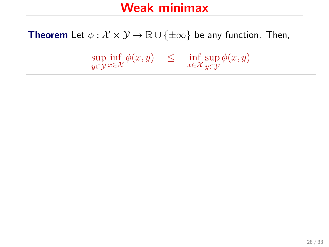**Theorem** Let  $\phi : \mathcal{X} \times \mathcal{Y} \to \mathbb{R} \cup \{\pm \infty\}$  be any function. Then,

sup y∈Y  $\inf_{x \in \mathcal{X}} \phi(x, y) \leq \inf_{x \in \mathcal{X}} \sup_{y \in \mathcal{Y}}$ y∈Y  $\phi(x,y)$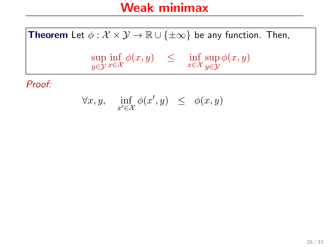$$
\forall x, y, \quad \inf_{x' \in \mathcal{X}} \phi(x', y) \leq \phi(x, y)
$$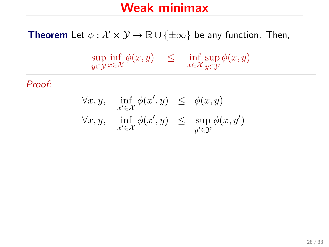$$
\forall x, y, \quad \inf_{x' \in \mathcal{X}} \phi(x', y) \leq \phi(x, y)
$$
  

$$
\forall x, y, \quad \inf_{x' \in \mathcal{X}} \phi(x', y) \leq \sup_{y' \in \mathcal{Y}} \phi(x, y')
$$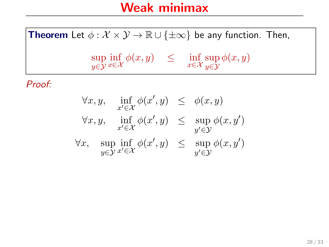$$
\forall x, y, \quad \inf_{x' \in \mathcal{X}} \phi(x', y) \leq \phi(x, y)
$$
  

$$
\forall x, y, \quad \inf_{x' \in \mathcal{X}} \phi(x', y) \leq \sup_{y' \in \mathcal{Y}} \phi(x, y')
$$
  

$$
\forall x, \quad \sup_{y \in \mathcal{Y}} \inf_{x' \in \mathcal{X}} \phi(x', y) \leq \sup_{y' \in \mathcal{Y}} \phi(x, y')
$$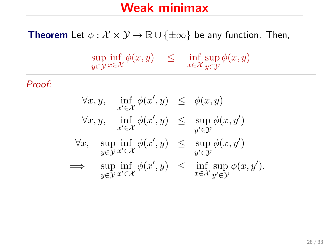$$
\forall x, y, \quad \inf_{x' \in \mathcal{X}} \phi(x', y) \leq \phi(x, y)
$$
  

$$
\forall x, y, \quad \inf_{x' \in \mathcal{X}} \phi(x', y) \leq \sup_{y' \in \mathcal{Y}} \phi(x, y')
$$
  

$$
\forall x, \quad \sup_{y \in \mathcal{Y}} \inf_{x' \in \mathcal{X}} \phi(x', y) \leq \sup_{y' \in \mathcal{Y}} \phi(x, y')
$$
  

$$
\implies \quad \sup_{y \in \mathcal{Y}} \inf_{x' \in \mathcal{X}} \phi(x', y) \leq \inf_{x \in \mathcal{X}} \sup_{y' \in \mathcal{Y}} \phi(x, y').
$$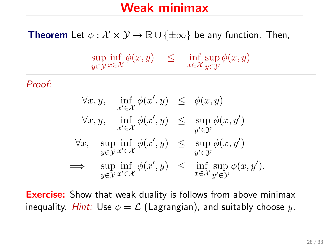**Theorem** Let  $\phi : \mathcal{X} \times \mathcal{Y} \to \mathbb{R} \cup \{\pm \infty\}$  be any function. Then, sup y∈Y  $\inf_{x \in \mathcal{X}} \phi(x, y) \leq \inf_{x \in \mathcal{X}} \sup_{y \in \mathcal{Y}}$ y∈Y  $\phi(x,y)$ Proof:

$$
\forall x, y, \quad \inf_{x' \in \mathcal{X}} \phi(x', y) \leq \phi(x, y)
$$
  

$$
\forall x, y, \quad \inf_{x' \in \mathcal{X}} \phi(x', y) \leq \sup_{y' \in \mathcal{Y}} \phi(x, y')
$$
  

$$
\forall x, \quad \sup_{y \in \mathcal{Y}} \inf_{x' \in \mathcal{X}} \phi(x', y) \leq \sup_{y' \in \mathcal{Y}} \phi(x, y')
$$
  

$$
\implies \quad \sup_{y \in \mathcal{Y}} \inf_{x' \in \mathcal{X}} \phi(x', y) \leq \inf_{x \in \mathcal{X}} \sup_{y' \in \mathcal{Y}} \phi(x, y').
$$

**Exercise:** Show that weak duality is follows from above minimax inequality. Hint: Use  $\phi = \mathcal{L}$  (Lagrangian), and suitably choose y.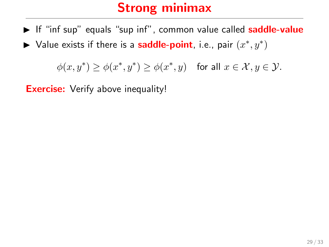- $\triangleright$  If "inf sup" equals "sup inf", common value called **saddle-value**
- ► Value exists if there is a **saddle-point**, i.e., pair  $(x^*, y^*)$

 $\phi(x, y^*) \ge \phi(x^*, y^*) \ge \phi(x^*, y)$  for all  $x \in \mathcal{X}, y \in \mathcal{Y}$ .

**Exercise:** Verify above inequality!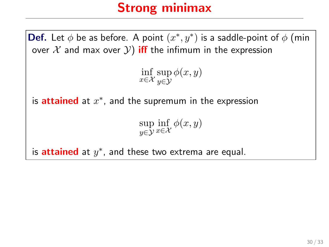**Def.** Let  $\phi$  be as before. A point  $(x^*, y^*)$  is a saddle-point of  $\phi$  (min over  $X$  and max over  $Y$ ) iff the infimum in the expression  $\inf_{x \in \mathcal{X}} \sup_{y \in \mathcal{Y}}$ y∈Y  $\phi(x,y)$ is attained at  $x^*$ , and the supremum in the expression sup y∈Y  $\inf_{x \in \mathcal{X}} \phi(x, y)$ is **attained** at  $y^*$ , and these two extrema are equal.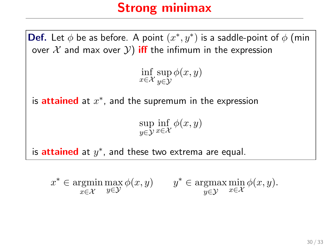**Def.** Let  $\phi$  be as before. A point  $(x^*, y^*)$  is a saddle-point of  $\phi$  (min over  $X$  and max over  $Y$ ) iff the infimum in the expression  $\inf_{x \in \mathcal{X}} \sup_{y \in \mathcal{Y}}$ y∈Y  $\phi(x,y)$ is attained at  $x^*$ , and the supremum in the expression sup y∈Y  $\inf_{x \in \mathcal{X}} \phi(x, y)$ is **attained** at  $y^*$ , and these two extrema are equal.

 $x^* \in \text{argmin}$ x∈X  $\max_{y \in \mathcal{Y}} \phi(x, y)$   $y^* \in \operatorname*{argmax}_{y \in \mathcal{Y}}$ y∈Y  $\min_{x \in \mathcal{X}} \phi(x, y).$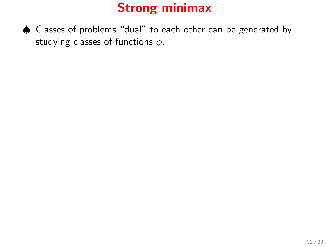♠ Classes of problems "dual" to each other can be generated by studying classes of functions  $\phi$ ,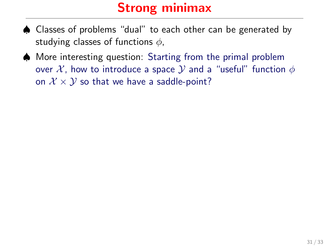- ♠ Classes of problems "dual" to each other can be generated by studying classes of functions  $\phi$ ,
- ♠ More interesting question: Starting from the primal problem over X, how to introduce a space Y and a "useful" function  $\phi$ on  $\mathcal{X} \times \mathcal{Y}$  so that we have a saddle-point?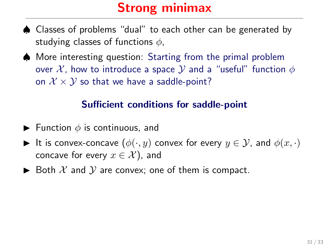- ♠ Classes of problems "dual" to each other can be generated by studying classes of functions  $\phi$ ,
- ♠ More interesting question: Starting from the primal problem over X, how to introduce a space  $\mathcal Y$  and a "useful" function  $\phi$ on  $\mathcal{X} \times \mathcal{Y}$  so that we have a saddle-point?

#### Sufficient conditions for saddle-point

- **Function**  $\phi$  is continuous, and
- It is convex-concave  $(\phi(\cdot, y)$  convex for every  $y \in \mathcal{Y}$ , and  $\phi(x, \cdot)$ concave for every  $x \in \mathcal{X}$ ), and
- $\triangleright$  Both X and Y are convex; one of them is compact.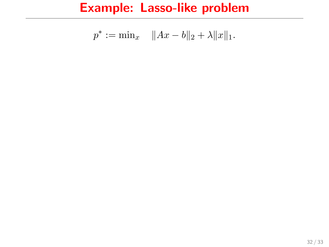$$
p^* := \min_x \quad ||Ax - b||_2 + \lambda ||x||_1.
$$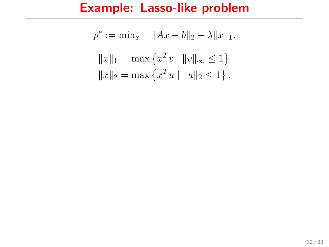$$
p^* := \min_x \quad \|Ax - b\|_2 + \lambda \|x\|_1.
$$

$$
\|x\|_1 = \max \{x^T v \mid \|v\|_\infty \le 1\}
$$

$$
\|x\|_2 = \max \{x^T u \mid \|u\|_2 \le 1\}.
$$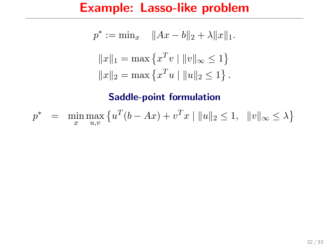$$
p^* := \min_x \quad \|Ax - b\|_2 + \lambda \|x\|_1.
$$

$$
\|x\|_1 = \max \{x^T v \mid \|v\|_\infty \le 1\}
$$

$$
\|x\|_2 = \max \{x^T u \mid \|u\|_2 \le 1\}.
$$

$$
p^* = \min_{x} \max_{u,v} \left\{ u^T(b - Ax) + v^T x \mid ||u||_2 \le 1, ||v||_{\infty} \le \lambda \right\}
$$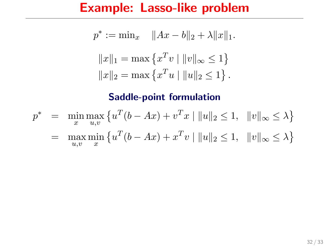$$
p^* := \min_x \quad \|Ax - b\|_2 + \lambda \|x\|_1.
$$

$$
\|x\|_1 = \max \{x^T v \mid \|v\|_\infty \le 1\}
$$

$$
\|x\|_2 = \max \{x^T u \mid \|u\|_2 \le 1\}.
$$

$$
p^* = \min_{x} \max_{u,v} \{ u^T(b - Ax) + v^T x \mid ||u||_2 \le 1, ||v||_{\infty} \le \lambda \}
$$
  
= 
$$
\max_{u,v} \min_{x} \{ u^T(b - Ax) + x^T v \mid ||u||_2 \le 1, ||v||_{\infty} \le \lambda \}
$$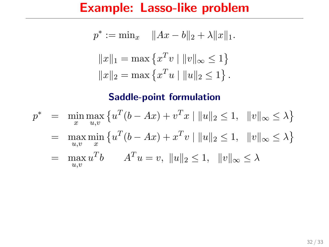$$
p^* := \min_x \quad \|Ax - b\|_2 + \lambda \|x\|_1.
$$

$$
\|x\|_1 = \max \{x^T v \mid \|v\|_\infty \le 1\}
$$

$$
\|x\|_2 = \max \{x^T u \mid \|u\|_2 \le 1\}.
$$

$$
p^* = \min_{x} \max_{u,v} \{ u^T(b - Ax) + v^T x \mid ||u||_2 \le 1, ||v||_{\infty} \le \lambda \}
$$
  
=  $\max_{u,v} \min_{x} \{ u^T(b - Ax) + x^T v \mid ||u||_2 \le 1, ||v||_{\infty} \le \lambda \}$   
=  $\max_{u,v} u^T b$   $A^T u = v, ||u||_2 \le 1, ||v||_{\infty} \le \lambda$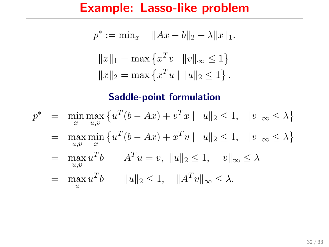$$
p^* := \min_x \quad \|Ax - b\|_2 + \lambda \|x\|_1.
$$

$$
\|x\|_1 = \max \{x^T v \mid \|v\|_\infty \le 1\}
$$

$$
\|x\|_2 = \max \{x^T u \mid \|u\|_2 \le 1\}.
$$

$$
p^* = \min_{x} \max_{u,v} \{ u^T(b - Ax) + v^T x \mid ||u||_2 \le 1, ||v||_{\infty} \le \lambda \}
$$
  
=  $\max_{u,v} \min_{x} \{ u^T(b - Ax) + x^T v \mid ||u||_2 \le 1, ||v||_{\infty} \le \lambda \}$   
=  $\max_{u,v} u^T b$   $A^T u = v, ||u||_2 \le 1, ||v||_{\infty} \le \lambda$   
=  $\max_{u} u^T b$   $||u||_2 \le 1, ||A^T v||_{\infty} \le \lambda$ .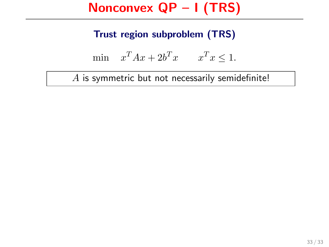## Nonconvex QP – I (TRS)

## Trust region subproblem (TRS)

$$
\min \quad x^T A x + 2b^T x \qquad x^T x \le 1.
$$

A is symmetric but not necessarily semidefinite!